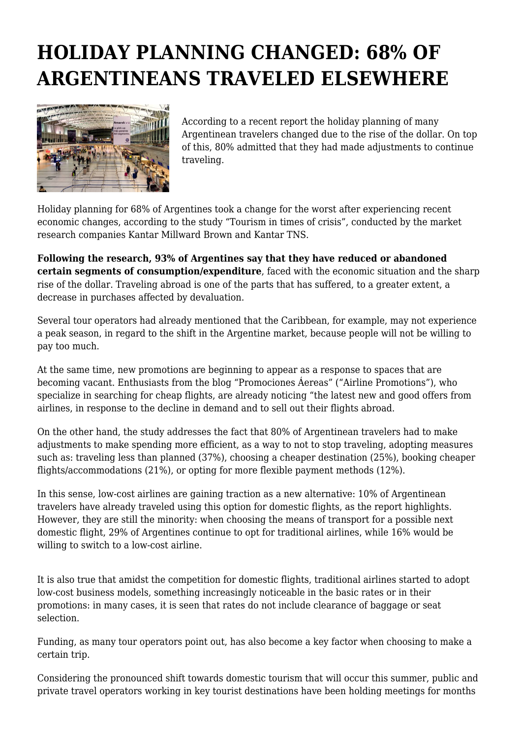## **HOLIDAY PLANNING CHANGED: 68% OF ARGENTINEANS TRAVELED ELSEWHERE**



According to a recent report the holiday planning of many Argentinean travelers changed due to the rise of the dollar. On top of this, 80% admitted that they had made adjustments to continue traveling.

Holiday planning for 68% of Argentines took a change for the worst after experiencing recent economic changes, according to the study "Tourism in times of crisis", conducted by the market research companies Kantar Millward Brown and Kantar TNS.

**Following the research, 93% of Argentines say that they have reduced or abandoned certain segments of consumption/expenditure**, faced with the economic situation and the sharp rise of the dollar. Traveling abroad is one of the parts that has suffered, to a greater extent, a decrease in purchases affected by devaluation.

Several tour operators had already mentioned that the Caribbean, for example, may not experience a peak season, in regard to the shift in the Argentine market, because people will not be willing to pay too much.

At the same time, new promotions are beginning to appear as a response to spaces that are becoming vacant. Enthusiasts from the blog "Promociones Áereas" ("Airline Promotions"), who specialize in searching for cheap flights, are already noticing "the latest new and good offers from airlines, in response to the decline in demand and to sell out their flights abroad.

On the other hand, the study addresses the fact that 80% of Argentinean travelers had to make adjustments to make spending more efficient, as a way to not to stop traveling, adopting measures such as: traveling less than planned (37%), choosing a cheaper destination (25%), booking cheaper flights/accommodations (21%), or opting for more flexible payment methods (12%).

In this sense, low-cost airlines are gaining traction as a new alternative: 10% of Argentinean travelers have already traveled using this option for domestic flights, as the report highlights. However, they are still the minority: when choosing the means of transport for a possible next domestic flight, 29% of Argentines continue to opt for traditional airlines, while 16% would be willing to switch to a low-cost airline.

It is also true that amidst the competition for domestic flights, traditional airlines started to adopt low-cost business models, something increasingly noticeable in the basic rates or in their promotions: in many cases, it is seen that rates do not include clearance of baggage or seat selection.

Funding, as many tour operators point out, has also become a key factor when choosing to make a certain trip.

Considering the pronounced shift towards domestic tourism that will occur this summer, public and private travel operators working in key tourist destinations have been holding meetings for months